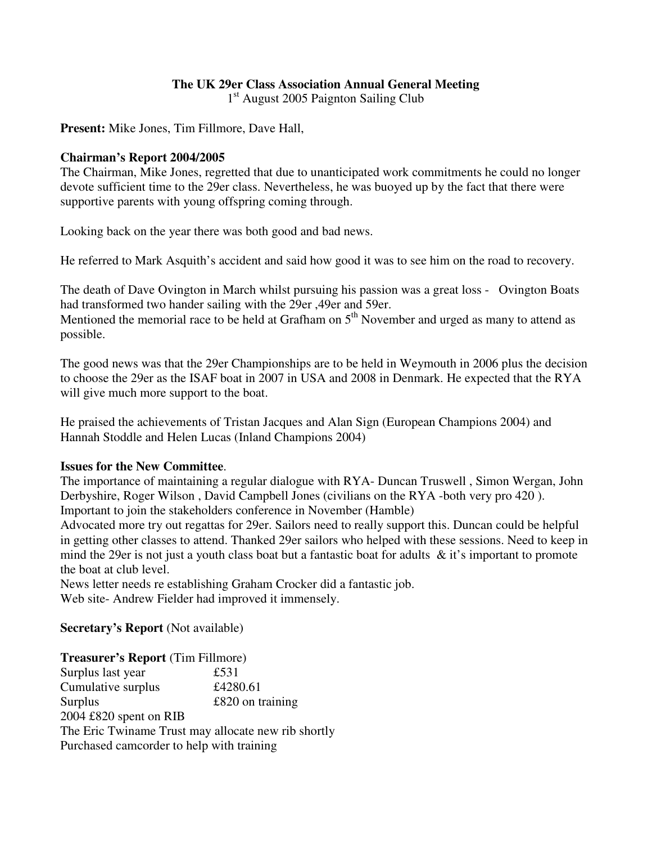# **The UK 29er Class Association Annual General Meeting**

1<sup>st</sup> August 2005 Paignton Sailing Club

**Present:** Mike Jones, Tim Fillmore, Dave Hall,

#### **Chairman's Report 2004/2005**

The Chairman, Mike Jones, regretted that due to unanticipated work commitments he could no longer devote sufficient time to the 29er class. Nevertheless, he was buoyed up by the fact that there were supportive parents with young offspring coming through.

Looking back on the year there was both good and bad news.

He referred to Mark Asquith's accident and said how good it was to see him on the road to recovery.

The death of Dave Ovington in March whilst pursuing his passion was a great loss - Ovington Boats had transformed two hander sailing with the 29er ,49er and 59er. Mentioned the memorial race to be held at Grafham on 5<sup>th</sup> November and urged as many to attend as possible.

The good news was that the 29er Championships are to be held in Weymouth in 2006 plus the decision to choose the 29er as the ISAF boat in 2007 in USA and 2008 in Denmark. He expected that the RYA will give much more support to the boat.

He praised the achievements of Tristan Jacques and Alan Sign (European Champions 2004) and Hannah Stoddle and Helen Lucas (Inland Champions 2004)

### **Issues for the New Committee**.

The importance of maintaining a regular dialogue with RYA- Duncan Truswell , Simon Wergan, John Derbyshire, Roger Wilson , David Campbell Jones (civilians on the RYA -both very pro 420 ). Important to join the stakeholders conference in November (Hamble)

Advocated more try out regattas for 29er. Sailors need to really support this. Duncan could be helpful in getting other classes to attend. Thanked 29er sailors who helped with these sessions. Need to keep in mind the 29er is not just a youth class boat but a fantastic boat for adults  $\&$  it's important to promote the boat at club level.

News letter needs re establishing Graham Crocker did a fantastic job. Web site- Andrew Fielder had improved it immensely.

**Secretary's Report** (Not available)

| <b>Treasurer's Report (Tim Fillmore)</b>  |                                                     |
|-------------------------------------------|-----------------------------------------------------|
| Surplus last year                         | £531                                                |
| Cumulative surplus                        | £4280.61                                            |
| Surplus                                   | $£820$ on training                                  |
| 2004 £820 spent on RIB                    |                                                     |
|                                           | The Eric Twiname Trust may allocate new rib shortly |
| Purchased camcorder to help with training |                                                     |